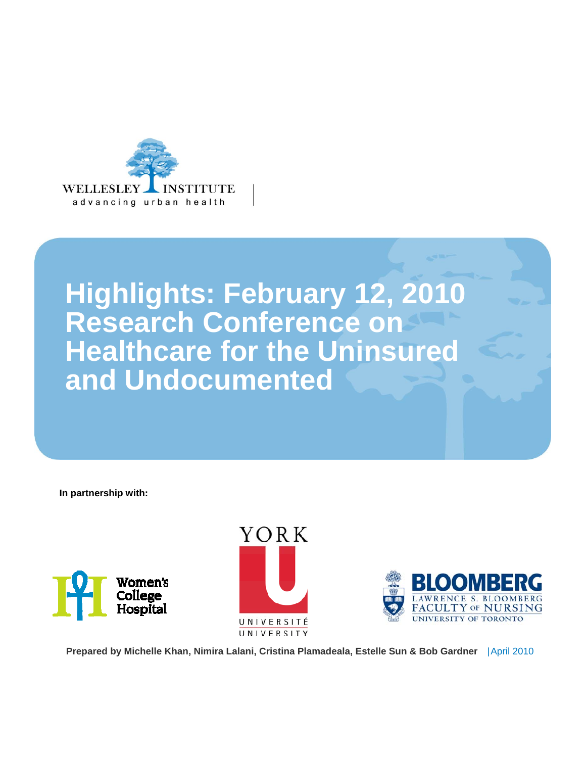

## **Highlights: February 12, 2010 Research Conference on Healthcare for the Uninsured and Undocumented**

**In partnership with:** 







 **Prepared by Michelle Khan, Nimira Lalani, Cristina Plamadeala, Estelle Sun & Bob Gardner**  |April 2010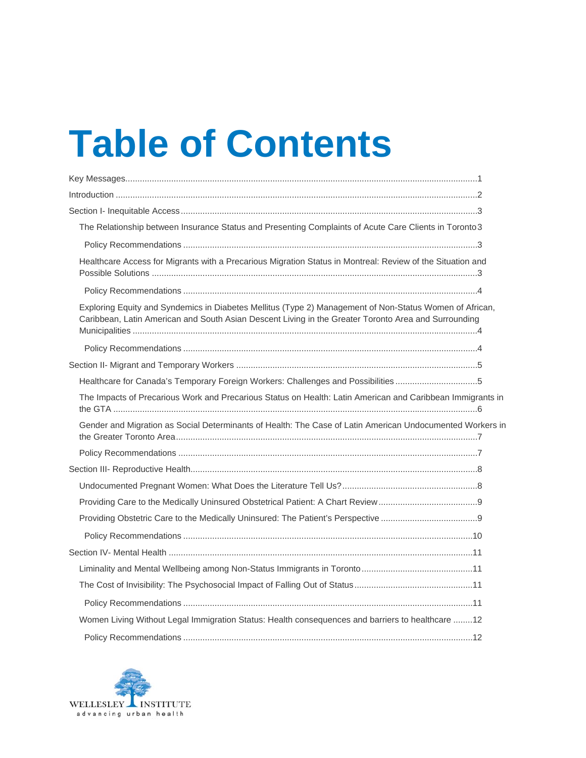# **Table of Contents**

| The Relationship between Insurance Status and Presenting Complaints of Acute Care Clients in Toronto 3                                                                                                          |
|-----------------------------------------------------------------------------------------------------------------------------------------------------------------------------------------------------------------|
|                                                                                                                                                                                                                 |
| Healthcare Access for Migrants with a Precarious Migration Status in Montreal: Review of the Situation and                                                                                                      |
|                                                                                                                                                                                                                 |
| Exploring Equity and Syndemics in Diabetes Mellitus (Type 2) Management of Non-Status Women of African,<br>Caribbean, Latin American and South Asian Descent Living in the Greater Toronto Area and Surrounding |
|                                                                                                                                                                                                                 |
|                                                                                                                                                                                                                 |
| Healthcare for Canada's Temporary Foreign Workers: Challenges and Possibilities5                                                                                                                                |
| The Impacts of Precarious Work and Precarious Status on Health: Latin American and Caribbean Immigrants in                                                                                                      |
| Gender and Migration as Social Determinants of Health: The Case of Latin American Undocumented Workers in                                                                                                       |
|                                                                                                                                                                                                                 |
|                                                                                                                                                                                                                 |
|                                                                                                                                                                                                                 |
|                                                                                                                                                                                                                 |
|                                                                                                                                                                                                                 |
|                                                                                                                                                                                                                 |
|                                                                                                                                                                                                                 |
|                                                                                                                                                                                                                 |
|                                                                                                                                                                                                                 |
|                                                                                                                                                                                                                 |
| Women Living Without Legal Immigration Status: Health consequences and barriers to healthcare 12                                                                                                                |
|                                                                                                                                                                                                                 |

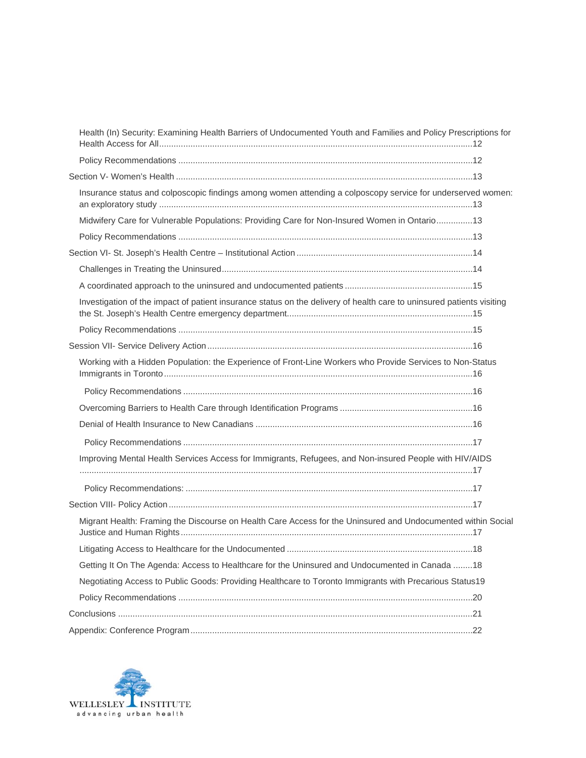| Health (In) Security: Examining Health Barriers of Undocumented Youth and Families and Policy Prescriptions for       |  |
|-----------------------------------------------------------------------------------------------------------------------|--|
|                                                                                                                       |  |
|                                                                                                                       |  |
| Insurance status and colposcopic findings among women attending a colposcopy service for underserved women:           |  |
| Midwifery Care for Vulnerable Populations: Providing Care for Non-Insured Women in Ontario 13                         |  |
|                                                                                                                       |  |
|                                                                                                                       |  |
|                                                                                                                       |  |
|                                                                                                                       |  |
| Investigation of the impact of patient insurance status on the delivery of health care to uninsured patients visiting |  |
|                                                                                                                       |  |
|                                                                                                                       |  |
| Working with a Hidden Population: the Experience of Front-Line Workers who Provide Services to Non-Status             |  |
|                                                                                                                       |  |
|                                                                                                                       |  |
|                                                                                                                       |  |
|                                                                                                                       |  |
| Improving Mental Health Services Access for Immigrants, Refugees, and Non-insured People with HIV/AIDS                |  |
|                                                                                                                       |  |
|                                                                                                                       |  |
| Migrant Health: Framing the Discourse on Health Care Access for the Uninsured and Undocumented within Social          |  |
|                                                                                                                       |  |
| Getting It On The Agenda: Access to Healthcare for the Uninsured and Undocumented in Canada  18                       |  |
| Negotiating Access to Public Goods: Providing Healthcare to Toronto Immigrants with Precarious Status19               |  |
|                                                                                                                       |  |
|                                                                                                                       |  |
|                                                                                                                       |  |

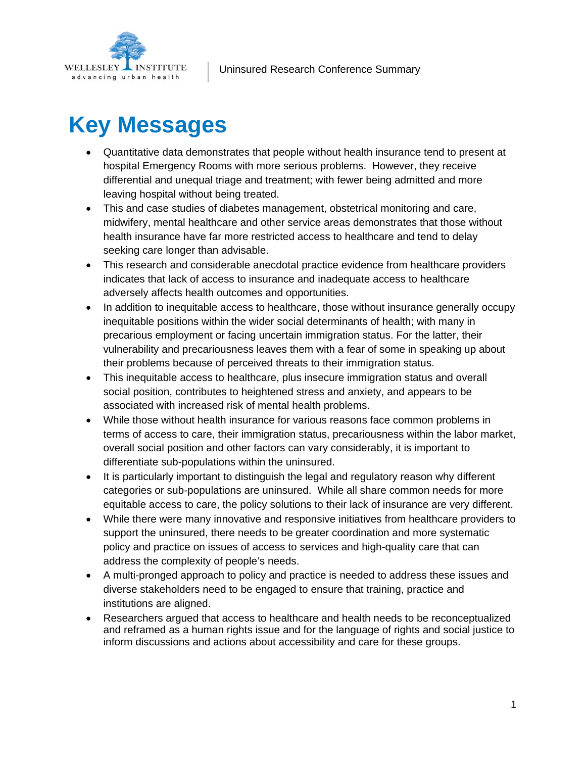<span id="page-3-0"></span>

## **Key Messages**

- Quantitative data demonstrates that people without health insurance tend to present at hospital Emergency Rooms with more serious problems. However, they receive differential and unequal triage and treatment; with fewer being admitted and more leaving hospital without being treated.
- This and case studies of diabetes management, obstetrical monitoring and care, midwifery, mental healthcare and other service areas demonstrates that those without health insurance have far more restricted access to healthcare and tend to delay seeking care longer than advisable.
- This research and considerable anecdotal practice evidence from healthcare providers indicates that lack of access to insurance and inadequate access to healthcare adversely affects health outcomes and opportunities.
- In addition to inequitable access to healthcare, those without insurance generally occupy inequitable positions within the wider social determinants of health; with many in precarious employment or facing uncertain immigration status. For the latter, their vulnerability and precariousness leaves them with a fear of some in speaking up about their problems because of perceived threats to their immigration status.
- This inequitable access to healthcare, plus insecure immigration status and overall social position, contributes to heightened stress and anxiety, and appears to be associated with increased risk of mental health problems.
- While those without health insurance for various reasons face common problems in terms of access to care, their immigration status, precariousness within the labor market, overall social position and other factors can vary considerably, it is important to differentiate sub-populations within the uninsured.
- It is particularly important to distinguish the legal and regulatory reason why different categories or sub-populations are uninsured. While all share common needs for more equitable access to care, the policy solutions to their lack of insurance are very different.
- While there were many innovative and responsive initiatives from healthcare providers to support the uninsured, there needs to be greater coordination and more systematic policy and practice on issues of access to services and high-quality care that can address the complexity of people's needs.
- A multi-pronged approach to policy and practice is needed to address these issues and diverse stakeholders need to be engaged to ensure that training, practice and institutions are aligned.
- Researchers argued that access to healthcare and health needs to be reconceptualized and reframed as a human rights issue and for the language of rights and social justice to inform discussions and actions about accessibility and care for these groups.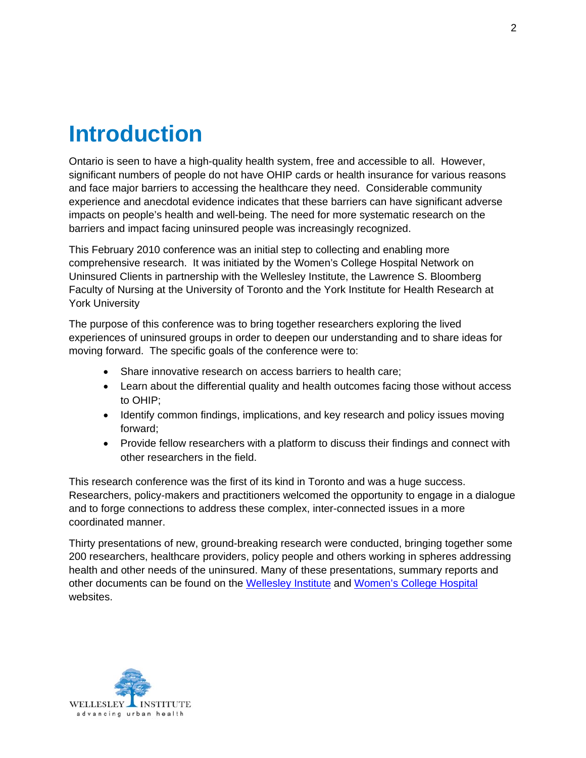## <span id="page-4-0"></span>**Introduction**

Ontario is seen to have a high-quality health system, free and accessible to all. However, significant numbers of people do not have OHIP cards or health insurance for various reasons and face major barriers to accessing the healthcare they need. Considerable community experience and anecdotal evidence indicates that these barriers can have significant adverse impacts on people's health and well-being. The need for more systematic research on the barriers and impact facing uninsured people was increasingly recognized.

This February 2010 conference was an initial step to collecting and enabling more comprehensive research. It was initiated by the Women's College Hospital Network on Uninsured Clients in partnership with the Wellesley Institute, the Lawrence S. Bloomberg Faculty of Nursing at the University of Toronto and the York Institute for Health Research at York University

The purpose of this conference was to bring together researchers exploring the lived experiences of uninsured groups in order to deepen our understanding and to share ideas for moving forward. The specific goals of the conference were to:

- Share innovative research on access barriers to health care;
- Learn about the differential quality and health outcomes facing those without access to OHIP;
- Identify common findings, implications, and key research and policy issues moving forward;
- Provide fellow researchers with a platform to discuss their findings and connect with other researchers in the field.

This research conference was the first of its kind in Toronto and was a huge success. Researchers, policy-makers and practitioners welcomed the opportunity to engage in a dialogue and to forge connections to address these complex, inter-connected issues in a more coordinated manner.

Thirty presentations of new, ground-breaking research were conducted, bringing together some 200 researchers, healthcare providers, policy people and others working in spheres addressing health and other needs of the uninsured. Many of these presentations, summary reports and other documents can be found on the [Wellesley Institute](http://www.wellesleyinstitute.com/) and [Women's College Hospital](http://www.womenscollegehospital.ca/programs/health-equity.html) websites.

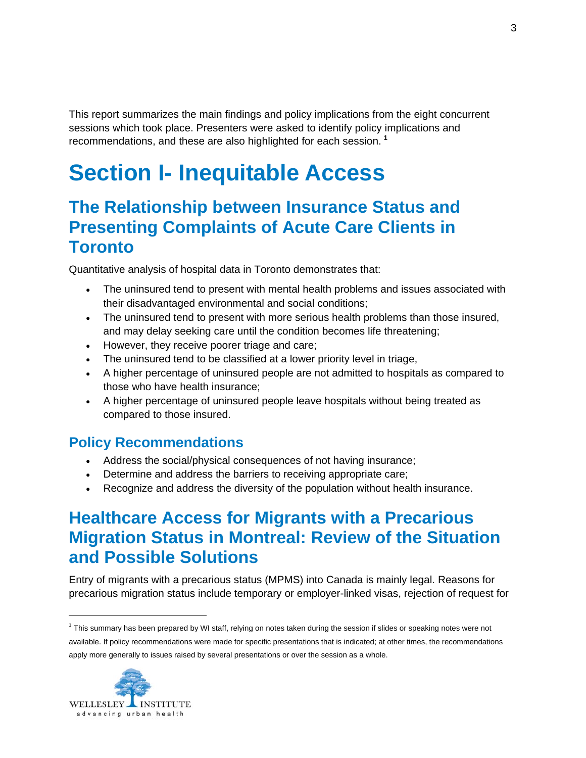<span id="page-5-0"></span>This report summarizes the main findings and policy implications from the eight concurrent sessions which took place. Presenters were asked to identify policy implications and recommendations, and these are also highlighted for each session. **[1](#page-5-1)**

## **Section I- Inequitable Access**

#### **The Relationship between Insurance Status and Presenting Complaints of Acute Care Clients in Toronto**

Quantitative analysis of hospital data in Toronto demonstrates that:

- The uninsured tend to present with mental health problems and issues associated with their disadvantaged environmental and social conditions;
- The uninsured tend to present with more serious health problems than those insured, and may delay seeking care until the condition becomes life threatening;
- However, they receive poorer triage and care;
- The uninsured tend to be classified at a lower priority level in triage,
- A higher percentage of uninsured people are not admitted to hospitals as compared to those who have health insurance;
- A higher percentage of uninsured people leave hospitals without being treated as compared to those insured.

#### **Policy Recommendations**

- Address the social/physical consequences of not having insurance;
- Determine and address the barriers to receiving appropriate care;
- Recognize and address the diversity of the population without health insurance.

#### **Healthcare Access for Migrants with a Precarious Migration Status in Montreal: Review of the Situation and Possible Solutions**

Entry of migrants with a precarious status (MPMS) into Canada is mainly legal. Reasons for precarious migration status include temporary or employer-linked visas, rejection of request for

<span id="page-5-1"></span><sup>&</sup>lt;sup>1</sup> This summary has been prepared by WI staff, relying on notes taken during the session if slides or speaking notes were not available. If policy recommendations were made for specific presentations that is indicated; at other times, the recommendations apply more generally to issues raised by several presentations or over the session as a whole.

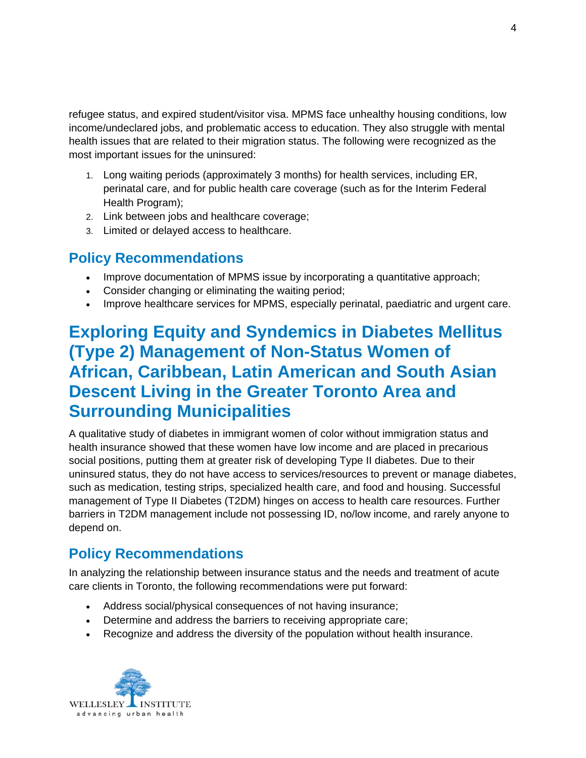<span id="page-6-0"></span>refugee status, and expired student/visitor visa. MPMS face unhealthy housing conditions, low income/undeclared jobs, and problematic access to education. They also struggle with mental health issues that are related to their migration status. The following were recognized as the most important issues for the uninsured:

- 1. Long waiting periods (approximately 3 months) for health services, including ER, perinatal care, and for public health care coverage (such as for the Interim Federal Health Program);
- 2. Link between jobs and healthcare coverage;
- 3. Limited or delayed access to healthcare.

#### **Policy Recommendations**

- Improve documentation of MPMS issue by incorporating a quantitative approach;
- Consider changing or eliminating the waiting period;
- Improve healthcare services for MPMS, especially perinatal, paediatric and urgent care.

#### **Exploring Equity and Syndemics in Diabetes Mellitus (Type 2) Management of Non-Status Women of African, Caribbean, Latin American and South Asian Descent Living in the Greater Toronto Area and Surrounding Municipalities**

A qualitative study of diabetes in immigrant women of color without immigration status and health insurance showed that these women have low income and are placed in precarious social positions, putting them at greater risk of developing Type II diabetes. Due to their uninsured status, they do not have access to services/resources to prevent or manage diabetes, such as medication, testing strips, specialized health care, and food and housing. Successful management of Type II Diabetes (T2DM) hinges on access to health care resources. Further barriers in T2DM management include not possessing ID, no/low income, and rarely anyone to depend on.

#### **Policy Recommendations**

In analyzing the relationship between insurance status and the needs and treatment of acute care clients in Toronto, the following recommendations were put forward:

- Address social/physical consequences of not having insurance;
- Determine and address the barriers to receiving appropriate care;
- Recognize and address the diversity of the population without health insurance.

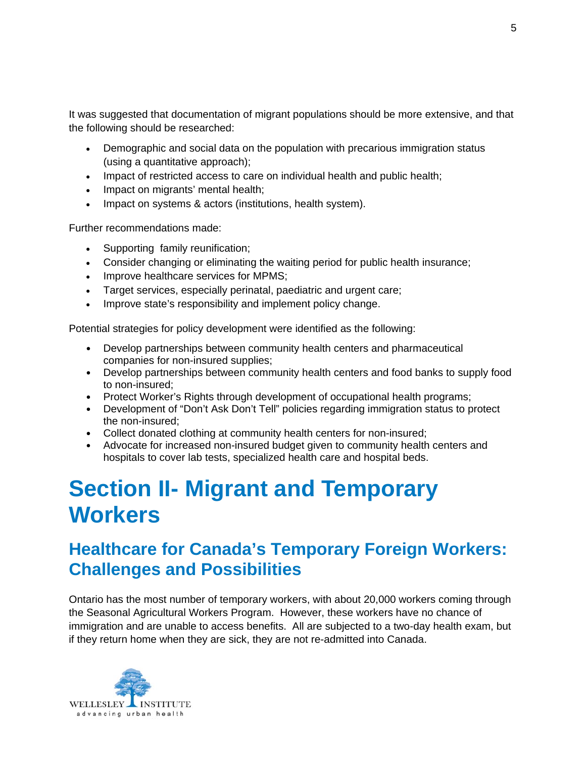<span id="page-7-0"></span>It was suggested that documentation of migrant populations should be more extensive, and that the following should be researched:

- Demographic and social data on the population with precarious immigration status (using a quantitative approach);
- Impact of restricted access to care on individual health and public health;
- Impact on migrants' mental health;
- Impact on systems & actors (institutions, health system).

Further recommendations made:

- Supporting family reunification;
- Consider changing or eliminating the waiting period for public health insurance;
- Improve healthcare services for MPMS;
- Target services, especially perinatal, paediatric and urgent care;
- Improve state's responsibility and implement policy change.

Potential strategies for policy development were identified as the following:

- Develop partnerships between community health centers and pharmaceutical companies for non-insured supplies;
- Develop partnerships between community health centers and food banks to supply food to non-insured;
- Protect Worker's Rights through development of occupational health programs;
- Development of "Don't Ask Don't Tell" policies regarding immigration status to protect the non-insured;
- Collect donated clothing at community health centers for non-insured;
- Advocate for increased non-insured budget given to community health centers and hospitals to cover lab tests, specialized health care and hospital beds.

## **Section II- Migrant and Temporary Workers**

### **Healthcare for Canada's Temporary Foreign Workers: Challenges and Possibilities**

Ontario has the most number of temporary workers, with about 20,000 workers coming through the Seasonal Agricultural Workers Program. However, these workers have no chance of immigration and are unable to access benefits. All are subjected to a two-day health exam, but if they return home when they are sick, they are not re-admitted into Canada.

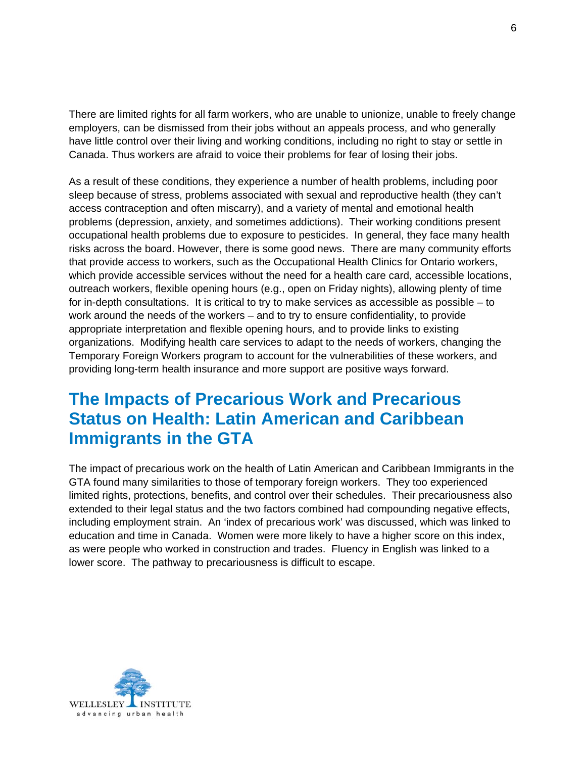<span id="page-8-0"></span>There are limited rights for all farm workers, who are unable to unionize, unable to freely change employers, can be dismissed from their jobs without an appeals process, and who generally have little control over their living and working conditions, including no right to stay or settle in Canada. Thus workers are afraid to voice their problems for fear of losing their jobs.

As a result of these conditions, they experience a number of health problems, including poor sleep because of stress, problems associated with sexual and reproductive health (they can't access contraception and often miscarry), and a variety of mental and emotional health problems (depression, anxiety, and sometimes addictions). Their working conditions present occupational health problems due to exposure to pesticides. In general, they face many health risks across the board. However, there is some good news. There are many community efforts that provide access to workers, such as the Occupational Health Clinics for Ontario workers, which provide accessible services without the need for a health care card, accessible locations, outreach workers, flexible opening hours (e.g., open on Friday nights), allowing plenty of time for in-depth consultations. It is critical to try to make services as accessible as possible – to work around the needs of the workers – and to try to ensure confidentiality, to provide appropriate interpretation and flexible opening hours, and to provide links to existing organizations. Modifying health care services to adapt to the needs of workers, changing the Temporary Foreign Workers program to account for the vulnerabilities of these workers, and providing long-term health insurance and more support are positive ways forward.

#### **The Impacts of Precarious Work and Precarious Status on Health: Latin American and Caribbean Immigrants in the GTA**

The impact of precarious work on the health of Latin American and Caribbean Immigrants in the GTA found many similarities to those of temporary foreign workers. They too experienced limited rights, protections, benefits, and control over their schedules. Their precariousness also extended to their legal status and the two factors combined had compounding negative effects, including employment strain. An 'index of precarious work' was discussed, which was linked to education and time in Canada. Women were more likely to have a higher score on this index, as were people who worked in construction and trades. Fluency in English was linked to a lower score. The pathway to precariousness is difficult to escape.

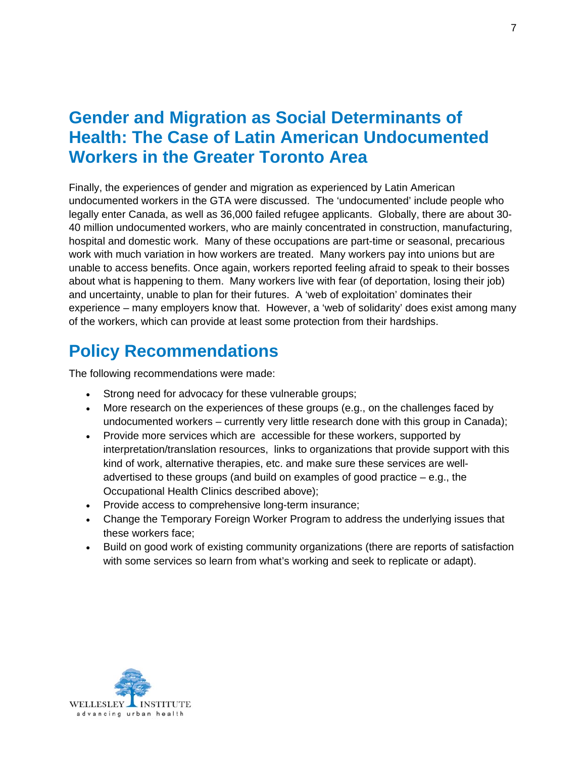#### <span id="page-9-0"></span>**Gender and Migration as Social Determinants of Health: The Case of Latin American Undocumented Workers in the Greater Toronto Area**

Finally, the experiences of gender and migration as experienced by Latin American undocumented workers in the GTA were discussed. The 'undocumented' include people who legally enter Canada, as well as 36,000 failed refugee applicants. Globally, there are about 30- 40 million undocumented workers, who are mainly concentrated in construction, manufacturing, hospital and domestic work. Many of these occupations are part-time or seasonal, precarious work with much variation in how workers are treated. Many workers pay into unions but are unable to access benefits. Once again, workers reported feeling afraid to speak to their bosses about what is happening to them. Many workers live with fear (of deportation, losing their job) and uncertainty, unable to plan for their futures. A 'web of exploitation' dominates their experience – many employers know that. However, a 'web of solidarity' does exist among many of the workers, which can provide at least some protection from their hardships.

### **Policy Recommendations**

The following recommendations were made:

- Strong need for advocacy for these vulnerable groups;
- More research on the experiences of these groups (e.g., on the challenges faced by undocumented workers – currently very little research done with this group in Canada);
- Provide more services which are accessible for these workers, supported by interpretation/translation resources, links to organizations that provide support with this kind of work, alternative therapies, etc. and make sure these services are welladvertised to these groups (and build on examples of good practice – e.g., the Occupational Health Clinics described above);
- Provide access to comprehensive long-term insurance;
- Change the Temporary Foreign Worker Program to address the underlying issues that these workers face;
- Build on good work of existing community organizations (there are reports of satisfaction with some services so learn from what's working and seek to replicate or adapt).

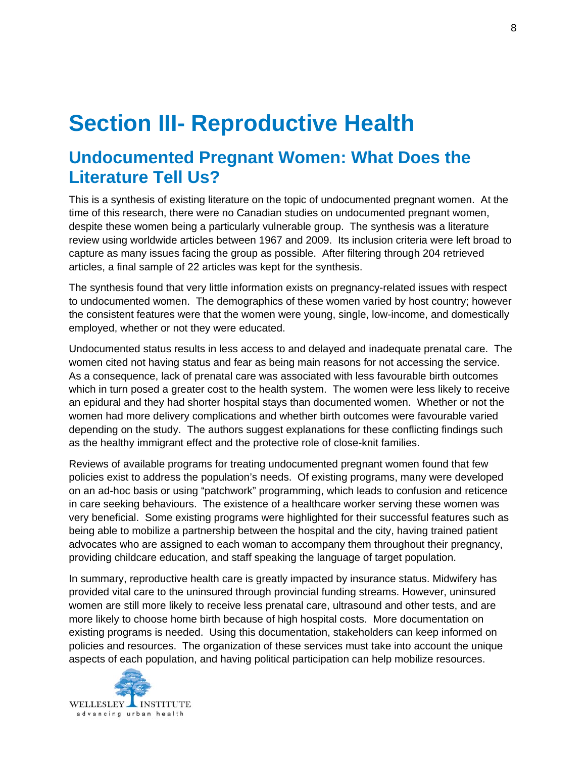## <span id="page-10-0"></span>**Section III- Reproductive Health**

#### **Undocumented Pregnant Women: What Does the Literature Tell Us?**

This is a synthesis of existing literature on the topic of undocumented pregnant women. At the time of this research, there were no Canadian studies on undocumented pregnant women, despite these women being a particularly vulnerable group. The synthesis was a literature review using worldwide articles between 1967 and 2009. Its inclusion criteria were left broad to capture as many issues facing the group as possible. After filtering through 204 retrieved articles, a final sample of 22 articles was kept for the synthesis.

The synthesis found that very little information exists on pregnancy-related issues with respect to undocumented women. The demographics of these women varied by host country; however the consistent features were that the women were young, single, low-income, and domestically employed, whether or not they were educated.

Undocumented status results in less access to and delayed and inadequate prenatal care. The women cited not having status and fear as being main reasons for not accessing the service. As a consequence, lack of prenatal care was associated with less favourable birth outcomes which in turn posed a greater cost to the health system. The women were less likely to receive an epidural and they had shorter hospital stays than documented women. Whether or not the women had more delivery complications and whether birth outcomes were favourable varied depending on the study. The authors suggest explanations for these conflicting findings such as the healthy immigrant effect and the protective role of close-knit families.

Reviews of available programs for treating undocumented pregnant women found that few policies exist to address the population's needs. Of existing programs, many were developed on an ad-hoc basis or using "patchwork" programming, which leads to confusion and reticence in care seeking behaviours. The existence of a healthcare worker serving these women was very beneficial. Some existing programs were highlighted for their successful features such as being able to mobilize a partnership between the hospital and the city, having trained patient advocates who are assigned to each woman to accompany them throughout their pregnancy, providing childcare education, and staff speaking the language of target population.

In summary, reproductive health care is greatly impacted by insurance status. Midwifery has provided vital care to the uninsured through provincial funding streams. However, uninsured women are still more likely to receive less prenatal care, ultrasound and other tests, and are more likely to choose home birth because of high hospital costs. More documentation on existing programs is needed. Using this documentation, stakeholders can keep informed on policies and resources. The organization of these services must take into account the unique aspects of each population, and having political participation can help mobilize resources.

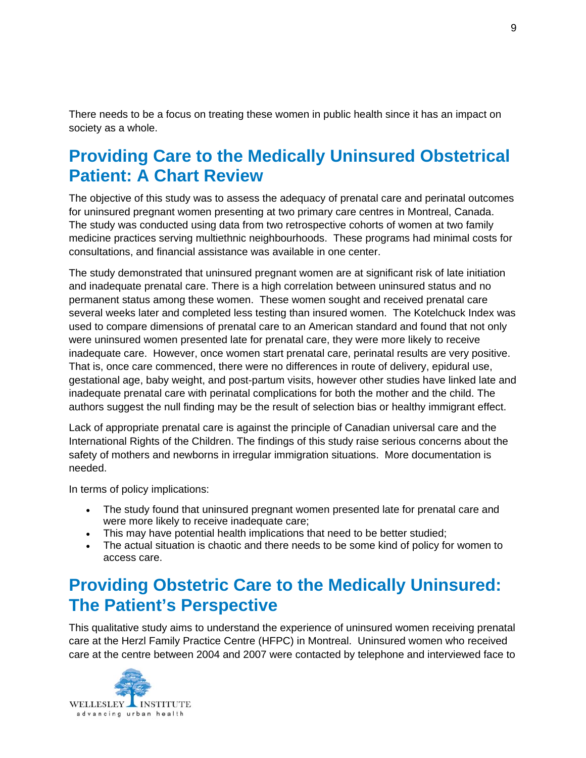<span id="page-11-0"></span>There needs to be a focus on treating these women in public health since it has an impact on society as a whole.

### **Providing Care to the Medically Uninsured Obstetrical Patient: A Chart Review**

The objective of this study was to assess the adequacy of prenatal care and perinatal outcomes for uninsured pregnant women presenting at two primary care centres in Montreal, Canada. The study was conducted using data from two retrospective cohorts of women at two family medicine practices serving multiethnic neighbourhoods. These programs had minimal costs for consultations, and financial assistance was available in one center.

The study demonstrated that uninsured pregnant women are at significant risk of late initiation and inadequate prenatal care. There is a high correlation between uninsured status and no permanent status among these women. These women sought and received prenatal care several weeks later and completed less testing than insured women. The Kotelchuck Index was used to compare dimensions of prenatal care to an American standard and found that not only were uninsured women presented late for prenatal care, they were more likely to receive inadequate care. However, once women start prenatal care, perinatal results are very positive. That is, once care commenced, there were no differences in route of delivery, epidural use, gestational age, baby weight, and post-partum visits, however other studies have linked late and inadequate prenatal care with perinatal complications for both the mother and the child. The authors suggest the null finding may be the result of selection bias or healthy immigrant effect.

Lack of appropriate prenatal care is against the principle of Canadian universal care and the International Rights of the Children. The findings of this study raise serious concerns about the safety of mothers and newborns in irregular immigration situations. More documentation is needed.

In terms of policy implications:

- The study found that uninsured pregnant women presented late for prenatal care and were more likely to receive inadequate care;
- This may have potential health implications that need to be better studied;
- The actual situation is chaotic and there needs to be some kind of policy for women to access care.

#### **Providing Obstetric Care to the Medically Uninsured: The Patient's Perspective**

This qualitative study aims to understand the experience of uninsured women receiving prenatal care at the Herzl Family Practice Centre (HFPC) in Montreal. Uninsured women who received care at the centre between 2004 and 2007 were contacted by telephone and interviewed face to

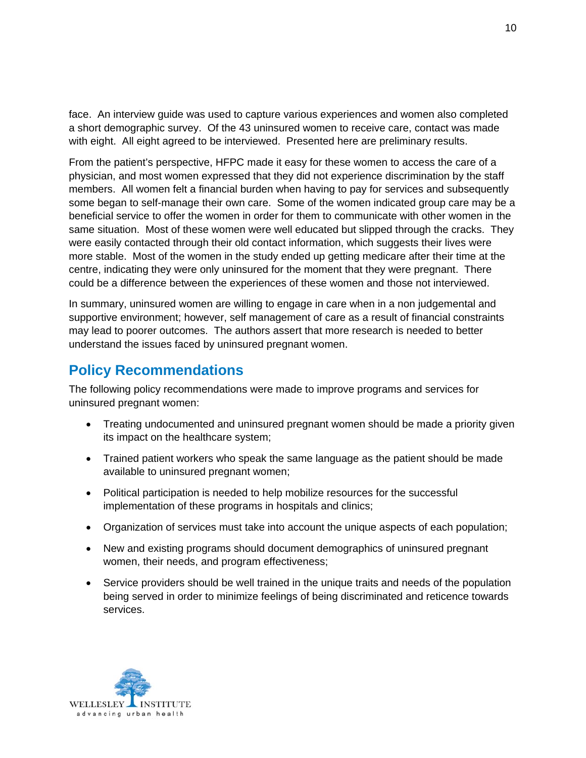<span id="page-12-0"></span>face. An interview guide was used to capture various experiences and women also completed a short demographic survey. Of the 43 uninsured women to receive care, contact was made with eight. All eight agreed to be interviewed. Presented here are preliminary results.

From the patient's perspective, HFPC made it easy for these women to access the care of a physician, and most women expressed that they did not experience discrimination by the staff members. All women felt a financial burden when having to pay for services and subsequently some began to self-manage their own care. Some of the women indicated group care may be a beneficial service to offer the women in order for them to communicate with other women in the same situation. Most of these women were well educated but slipped through the cracks. They were easily contacted through their old contact information, which suggests their lives were more stable. Most of the women in the study ended up getting medicare after their time at the centre, indicating they were only uninsured for the moment that they were pregnant. There could be a difference between the experiences of these women and those not interviewed.

In summary, uninsured women are willing to engage in care when in a non judgemental and supportive environment; however, self management of care as a result of financial constraints may lead to poorer outcomes. The authors assert that more research is needed to better understand the issues faced by uninsured pregnant women.

#### **Policy Recommendations**

The following policy recommendations were made to improve programs and services for uninsured pregnant women:

- Treating undocumented and uninsured pregnant women should be made a priority given its impact on the healthcare system;
- Trained patient workers who speak the same language as the patient should be made available to uninsured pregnant women;
- Political participation is needed to help mobilize resources for the successful implementation of these programs in hospitals and clinics;
- Organization of services must take into account the unique aspects of each population;
- New and existing programs should document demographics of uninsured pregnant women, their needs, and program effectiveness;
- Service providers should be well trained in the unique traits and needs of the population being served in order to minimize feelings of being discriminated and reticence towards services.

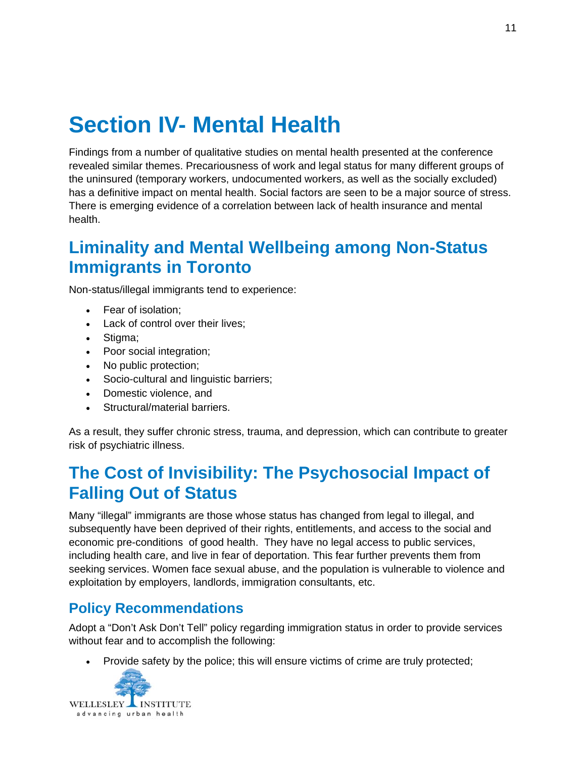## <span id="page-13-0"></span>**Section IV- Mental Health**

Findings from a number of qualitative studies on mental health presented at the conference revealed similar themes. Precariousness of work and legal status for many different groups of the uninsured (temporary workers, undocumented workers, as well as the socially excluded) has a definitive impact on mental health. Social factors are seen to be a major source of stress. There is emerging evidence of a correlation between lack of health insurance and mental health.

#### **Liminality and Mental Wellbeing among Non-Status Immigrants in Toronto**

Non-status/illegal immigrants tend to experience:

- Fear of isolation;
- Lack of control over their lives;
- Stigma;
- Poor social integration;
- No public protection;
- Socio-cultural and linguistic barriers;
- Domestic violence, and
- Structural/material barriers.

As a result, they suffer chronic stress, trauma, and depression, which can contribute to greater risk of psychiatric illness.

### **The Cost of Invisibility: The Psychosocial Impact of Falling Out of Status**

Many "illegal" immigrants are those whose status has changed from legal to illegal, and subsequently have been deprived of their rights, entitlements, and access to the social and economic pre-conditions of good health. They have no legal access to public services, including health care, and live in fear of deportation. This fear further prevents them from seeking services. Women face sexual abuse, and the population is vulnerable to violence and exploitation by employers, landlords, immigration consultants, etc.

#### **Policy Recommendations**

Adopt a "Don't Ask Don't Tell" policy regarding immigration status in order to provide services without fear and to accomplish the following:

• Provide safety by the police; this will ensure victims of crime are truly protected;

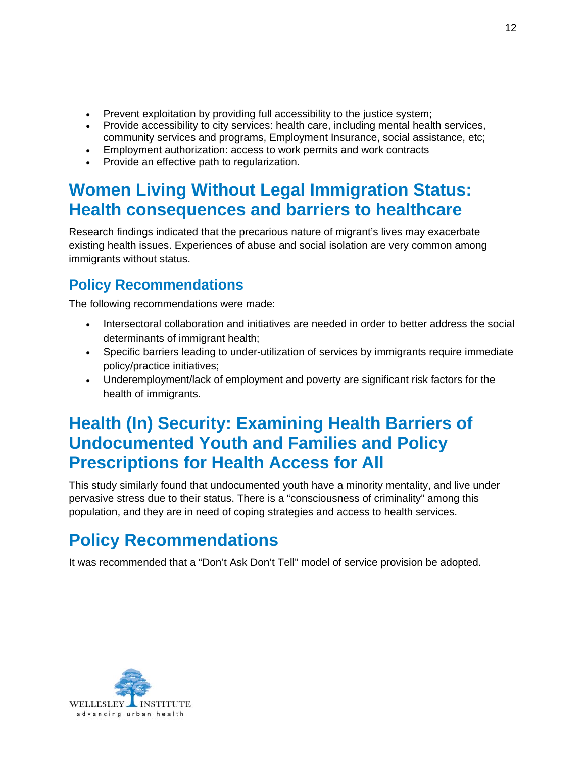- <span id="page-14-0"></span>• Prevent exploitation by providing full accessibility to the justice system;
- Provide accessibility to city services: health care, including mental health services, community services and programs, Employment Insurance, social assistance, etc;
- Employment authorization: access to work permits and work contracts
- Provide an effective path to regularization.

### **Women Living Without Legal Immigration Status: Health consequences and barriers to healthcare**

Research findings indicated that the precarious nature of migrant's lives may exacerbate existing health issues. Experiences of abuse and social isolation are very common among immigrants without status.

#### **Policy Recommendations**

The following recommendations were made:

- Intersectoral collaboration and initiatives are needed in order to better address the social determinants of immigrant health;
- Specific barriers leading to under-utilization of services by immigrants require immediate policy/practice initiatives;
- Underemployment/lack of employment and poverty are significant risk factors for the health of immigrants.

### **Health (In) Security: Examining Health Barriers of Undocumented Youth and Families and Policy Prescriptions for Health Access for All**

This study similarly found that undocumented youth have a minority mentality, and live under pervasive stress due to their status. There is a "consciousness of criminality" among this population, and they are in need of coping strategies and access to health services.

## **Policy Recommendations**

It was recommended that a "Don't Ask Don't Tell" model of service provision be adopted.

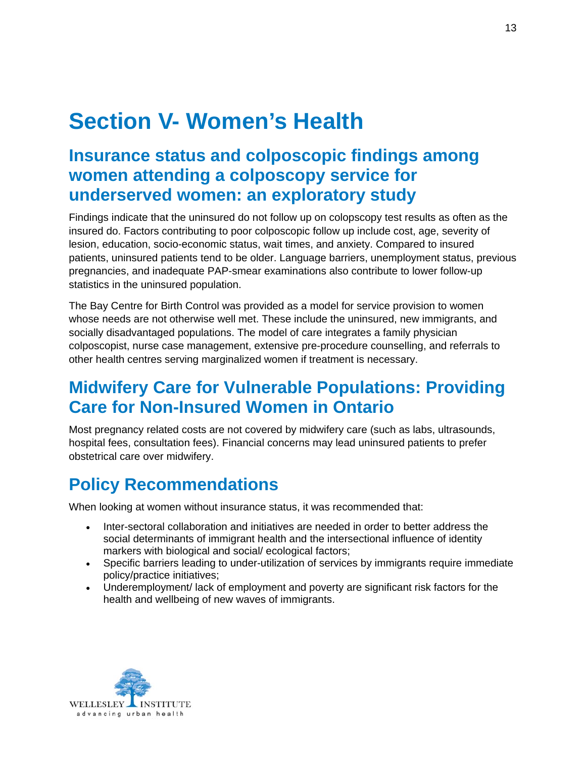## <span id="page-15-0"></span>**Section V- Women's Health**

### **Insurance status and colposcopic findings among women attending a colposcopy service for underserved women: an exploratory study**

Findings indicate that the uninsured do not follow up on colopscopy test results as often as the insured do. Factors contributing to poor colposcopic follow up include cost, age, severity of lesion, education, socio-economic status, wait times, and anxiety. Compared to insured patients, uninsured patients tend to be older. Language barriers, unemployment status, previous pregnancies, and inadequate PAP-smear examinations also contribute to lower follow-up statistics in the uninsured population.

The Bay Centre for Birth Control was provided as a model for service provision to women whose needs are not otherwise well met. These include the uninsured, new immigrants, and socially disadvantaged populations. The model of care integrates a family physician colposcopist, nurse case management, extensive pre-procedure counselling, and referrals to other health centres serving marginalized women if treatment is necessary.

### **Midwifery Care for Vulnerable Populations: Providing Care for Non-Insured Women in Ontario**

Most pregnancy related costs are not covered by midwifery care (such as labs, ultrasounds, hospital fees, consultation fees). Financial concerns may lead uninsured patients to prefer obstetrical care over midwifery.

## **Policy Recommendations**

When looking at women without insurance status, it was recommended that:

- Inter-sectoral collaboration and initiatives are needed in order to better address the social determinants of immigrant health and the intersectional influence of identity markers with biological and social/ ecological factors;
- Specific barriers leading to under-utilization of services by immigrants require immediate policy/practice initiatives;
- Underemployment/ lack of employment and poverty are significant risk factors for the health and wellbeing of new waves of immigrants.

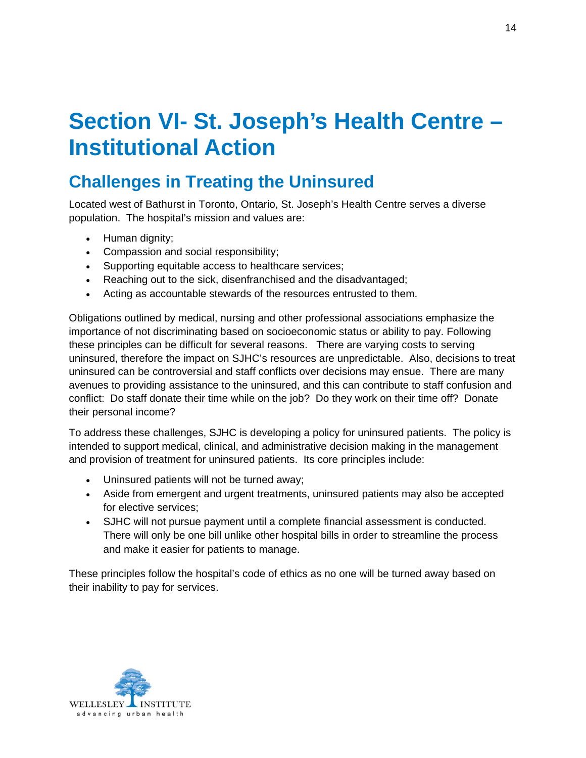## <span id="page-16-0"></span>**Section VI- St. Joseph's Health Centre – Institutional Action**

### **Challenges in Treating the Uninsured**

Located west of Bathurst in Toronto, Ontario, St. Joseph's Health Centre serves a diverse population. The hospital's mission and values are:

- Human dignity;
- Compassion and social responsibility;
- Supporting equitable access to healthcare services;
- Reaching out to the sick, disenfranchised and the disadvantaged;
- Acting as accountable stewards of the resources entrusted to them.

Obligations outlined by medical, nursing and other professional associations emphasize the importance of not discriminating based on socioeconomic status or ability to pay. Following these principles can be difficult for several reasons. There are varying costs to serving uninsured, therefore the impact on SJHC's resources are unpredictable. Also, decisions to treat uninsured can be controversial and staff conflicts over decisions may ensue. There are many avenues to providing assistance to the uninsured, and this can contribute to staff confusion and conflict: Do staff donate their time while on the job? Do they work on their time off? Donate their personal income?

To address these challenges, SJHC is developing a policy for uninsured patients. The policy is intended to support medical, clinical, and administrative decision making in the management and provision of treatment for uninsured patients. Its core principles include:

- Uninsured patients will not be turned away;
- Aside from emergent and urgent treatments, uninsured patients may also be accepted for elective services;
- SJHC will not pursue payment until a complete financial assessment is conducted. There will only be one bill unlike other hospital bills in order to streamline the process and make it easier for patients to manage.

These principles follow the hospital's code of ethics as no one will be turned away based on their inability to pay for services.

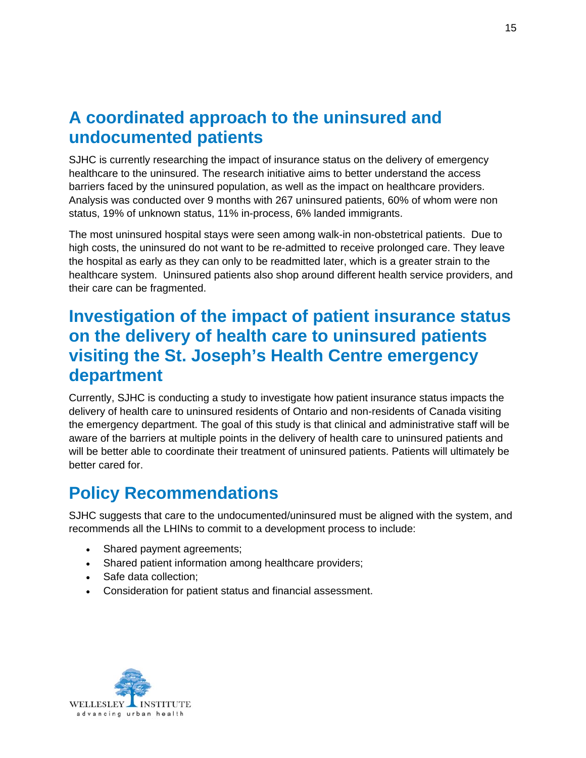### <span id="page-17-0"></span>**A coordinated approach to the uninsured and undocumented patients**

SJHC is currently researching the impact of insurance status on the delivery of emergency healthcare to the uninsured. The research initiative aims to better understand the access barriers faced by the uninsured population, as well as the impact on healthcare providers. Analysis was conducted over 9 months with 267 uninsured patients, 60% of whom were non status, 19% of unknown status, 11% in-process, 6% landed immigrants.

The most uninsured hospital stays were seen among walk-in non-obstetrical patients. Due to high costs, the uninsured do not want to be re-admitted to receive prolonged care. They leave the hospital as early as they can only to be readmitted later, which is a greater strain to the healthcare system. Uninsured patients also shop around different health service providers, and their care can be fragmented.

#### **Investigation of the impact of patient insurance status on the delivery of health care to uninsured patients visiting the St. Joseph's Health Centre emergency department**

Currently, SJHC is conducting a study to investigate how patient insurance status impacts the delivery of health care to uninsured residents of Ontario and non-residents of Canada visiting the emergency department. The goal of this study is that clinical and administrative staff will be aware of the barriers at multiple points in the delivery of health care to uninsured patients and will be better able to coordinate their treatment of uninsured patients. Patients will ultimately be better cared for.

### **Policy Recommendations**

SJHC suggests that care to the undocumented/uninsured must be aligned with the system, and recommends all the LHINs to commit to a development process to include:

- Shared payment agreements;
- Shared patient information among healthcare providers;
- Safe data collection;
- Consideration for patient status and financial assessment.

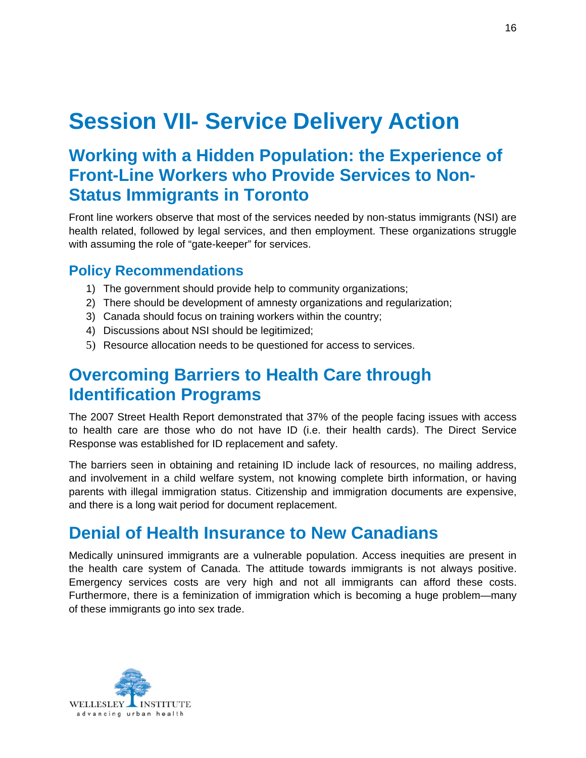## <span id="page-18-0"></span>**Session VII- Service Delivery Action**

### **Working with a Hidden Population: the Experience of Front-Line Workers who Provide Services to Non-Status Immigrants in Toronto**

Front line workers observe that most of the services needed by non-status immigrants (NSI) are health related, followed by legal services, and then employment. These organizations struggle with assuming the role of "gate-keeper" for services.

#### **Policy Recommendations**

- 1) The government should provide help to community organizations;
- 2) There should be development of amnesty organizations and regularization;
- 3) Canada should focus on training workers within the country;
- 4) Discussions about NSI should be legitimized;
- 5) Resource allocation needs to be questioned for access to services.

### **Overcoming Barriers to Health Care through Identification Programs**

The 2007 Street Health Report demonstrated that 37% of the people facing issues with access to health care are those who do not have ID (i.e. their health cards). The Direct Service Response was established for ID replacement and safety.

The barriers seen in obtaining and retaining ID include lack of resources, no mailing address, and involvement in a child welfare system, not knowing complete birth information, or having parents with illegal immigration status. Citizenship and immigration documents are expensive, and there is a long wait period for document replacement.

#### **Denial of Health Insurance to New Canadians**

Medically uninsured immigrants are a vulnerable population. Access inequities are present in the health care system of Canada. The attitude towards immigrants is not always positive. Emergency services costs are very high and not all immigrants can afford these costs. Furthermore, there is a feminization of immigration which is becoming a huge problem—many of these immigrants go into sex trade.

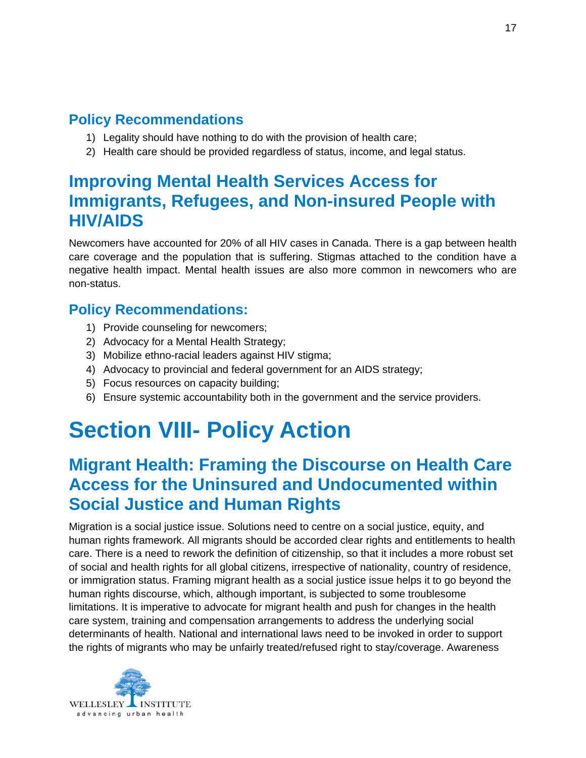#### <span id="page-19-0"></span>**Policy Recommendations**

- 1) Legality should have nothing to do with the provision of health care;
- 2) Health care should be provided regardless of status, income, and legal status.

#### **Improving Mental Health Services Access for Immigrants, Refugees, and Non-insured People with HIV/AIDS**

Newcomers have accounted for 20% of all HIV cases in Canada. There is a gap between health care coverage and the population that is suffering. Stigmas attached to the condition have a negative health impact. Mental health issues are also more common in newcomers who are non-status.

#### **Policy Recommendations:**

- 1) Provide counseling for newcomers;
- 2) Advocacy for a Mental Health Strategy;
- 3) Mobilize ethno-racial leaders against HIV stigma;
- 4) Advocacy to provincial and federal government for an AIDS strategy;
- 5) Focus resources on capacity building;
- 6) Ensure systemic accountability both in the government and the service providers.

## **Section VIII- Policy Action**

#### **Migrant Health: Framing the Discourse on Health Care Access for the Uninsured and Undocumented within Social Justice and Human Rights**

Migration is a social justice issue. Solutions need to centre on a social justice, equity, and human rights framework. All migrants should be accorded clear rights and entitlements to health care. There is a need to rework the definition of citizenship, so that it includes a more robust set of social and health rights for all global citizens, irrespective of nationality, country of residence, or immigration status. Framing migrant health as a social justice issue helps it to go beyond the human rights discourse, which, although important, is subjected to some troublesome limitations. It is imperative to advocate for migrant health and push for changes in the health care system, training and compensation arrangements to address the underlying social determinants of health. National and international laws need to be invoked in order to support the rights of migrants who may be unfairly treated/refused right to stay/coverage. Awareness

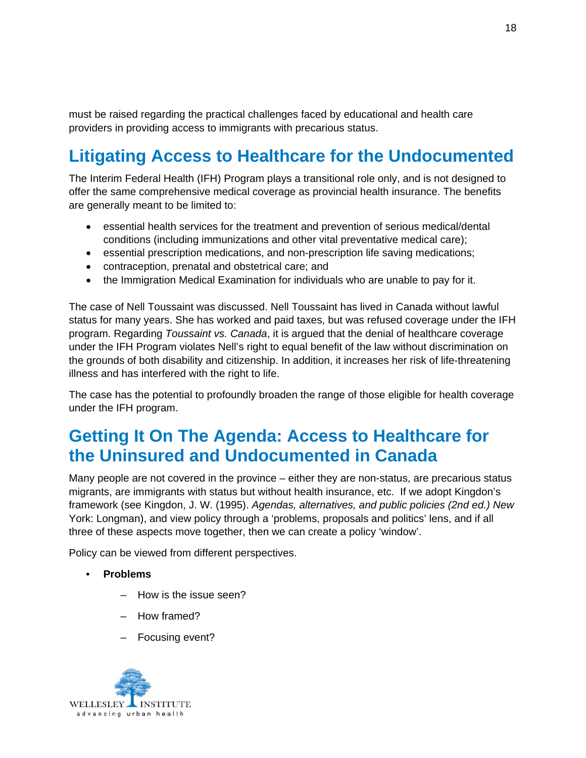<span id="page-20-0"></span>must be raised regarding the practical challenges faced by educational and health care providers in providing access to immigrants with precarious status.

## **Litigating Access to Healthcare for the Undocumented**

The Interim Federal Health (IFH) Program plays a transitional role only, and is not designed to offer the same comprehensive medical coverage as provincial health insurance. The benefits are generally meant to be limited to:

- essential health services for the treatment and prevention of serious medical/dental conditions (including immunizations and other vital preventative medical care);
- essential prescription medications, and non-prescription life saving medications;
- contraception, prenatal and obstetrical care; and
- the Immigration Medical Examination for individuals who are unable to pay for it.

The case of Nell Toussaint was discussed. Nell Toussaint has lived in Canada without lawful status for many years. She has worked and paid taxes, but was refused coverage under the IFH program. Regarding *Toussaint vs. Canada*, it is argued that the denial of healthcare coverage under the IFH Program violates Nell's right to equal benefit of the law without discrimination on the grounds of both disability and citizenship. In addition, it increases her risk of life-threatening illness and has interfered with the right to life.

The case has the potential to profoundly broaden the range of those eligible for health coverage under the IFH program.

### **Getting It On The Agenda: Access to Healthcare for the Uninsured and Undocumented in Canada**

Many people are not covered in the province – either they are non-status, are precarious status migrants, are immigrants with status but without health insurance, etc. If we adopt Kingdon's framework (see Kingdon, J. W. (1995). *Agendas, alternatives, and public policies (2nd ed.) New*  York: Longman), and view policy through a 'problems, proposals and politics' lens, and if all three of these aspects move together, then we can create a policy 'window'.

Policy can be viewed from different perspectives.

- **Problems** 
	- How is the issue seen?
	- How framed?
	- Focusing event?

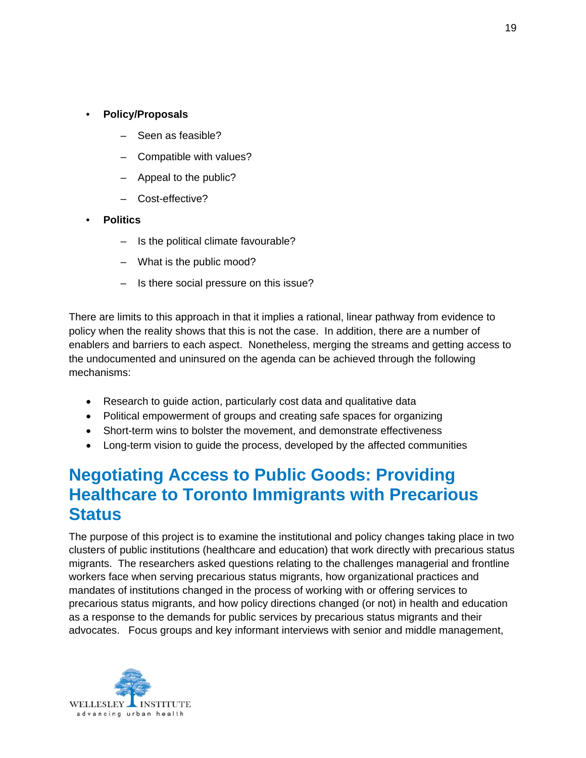- <span id="page-21-0"></span>• **Policy/Proposals** 
	- Seen as feasible?
	- Compatible with values?
	- Appeal to the public?
	- Cost-effective?
- **Politics** 
	- Is the political climate favourable?
	- What is the public mood?
	- Is there social pressure on this issue?

There are limits to this approach in that it implies a rational, linear pathway from evidence to policy when the reality shows that this is not the case. In addition, there are a number of enablers and barriers to each aspect. Nonetheless, merging the streams and getting access to the undocumented and uninsured on the agenda can be achieved through the following mechanisms:

- Research to guide action, particularly cost data and qualitative data
- Political empowerment of groups and creating safe spaces for organizing
- Short-term wins to bolster the movement, and demonstrate effectiveness
- Long-term vision to guide the process, developed by the affected communities

#### **Negotiating Access to Public Goods: Providing Healthcare to Toronto Immigrants with Precarious Status**

The purpose of this project is to examine the institutional and policy changes taking place in two clusters of public institutions (healthcare and education) that work directly with precarious status migrants. The researchers asked questions relating to the challenges managerial and frontline workers face when serving precarious status migrants, how organizational practices and mandates of institutions changed in the process of working with or offering services to precarious status migrants, and how policy directions changed (or not) in health and education as a response to the demands for public services by precarious status migrants and their advocates. Focus groups and key informant interviews with senior and middle management,

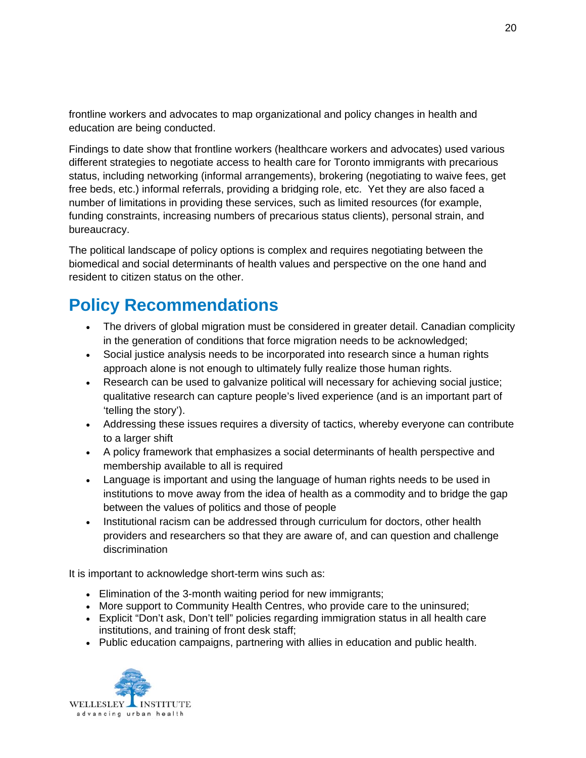<span id="page-22-0"></span>frontline workers and advocates to map organizational and policy changes in health and education are being conducted.

Findings to date show that frontline workers (healthcare workers and advocates) used various different strategies to negotiate access to health care for Toronto immigrants with precarious status, including networking (informal arrangements), brokering (negotiating to waive fees, get free beds, etc.) informal referrals, providing a bridging role, etc. Yet they are also faced a number of limitations in providing these services, such as limited resources (for example, funding constraints, increasing numbers of precarious status clients), personal strain, and bureaucracy.

The political landscape of policy options is complex and requires negotiating between the biomedical and social determinants of health values and perspective on the one hand and resident to citizen status on the other.

### **Policy Recommendations**

- The drivers of global migration must be considered in greater detail. Canadian complicity in the generation of conditions that force migration needs to be acknowledged;
- Social justice analysis needs to be incorporated into research since a human rights approach alone is not enough to ultimately fully realize those human rights.
- Research can be used to galvanize political will necessary for achieving social justice; qualitative research can capture people's lived experience (and is an important part of 'telling the story').
- Addressing these issues requires a diversity of tactics, whereby everyone can contribute to a larger shift
- A policy framework that emphasizes a social determinants of health perspective and membership available to all is required
- Language is important and using the language of human rights needs to be used in institutions to move away from the idea of health as a commodity and to bridge the gap between the values of politics and those of people
- Institutional racism can be addressed through curriculum for doctors, other health providers and researchers so that they are aware of, and can question and challenge discrimination

It is important to acknowledge short-term wins such as:

- Elimination of the 3-month waiting period for new immigrants;
- More support to Community Health Centres, who provide care to the uninsured;
- Explicit "Don't ask, Don't tell" policies regarding immigration status in all health care institutions, and training of front desk staff;
- Public education campaigns, partnering with allies in education and public health.

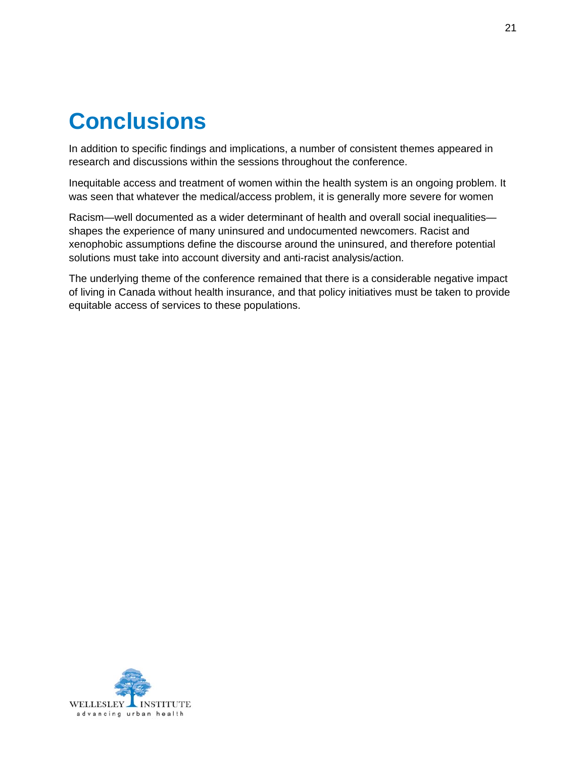## <span id="page-23-0"></span>**Conclusions**

In addition to specific findings and implications, a number of consistent themes appeared in research and discussions within the sessions throughout the conference.

Inequitable access and treatment of women within the health system is an ongoing problem. It was seen that whatever the medical/access problem, it is generally more severe for women

Racism—well documented as a wider determinant of health and overall social inequalities shapes the experience of many uninsured and undocumented newcomers. Racist and xenophobic assumptions define the discourse around the uninsured, and therefore potential solutions must take into account diversity and anti-racist analysis/action.

The underlying theme of the conference remained that there is a considerable negative impact of living in Canada without health insurance, and that policy initiatives must be taken to provide equitable access of services to these populations.

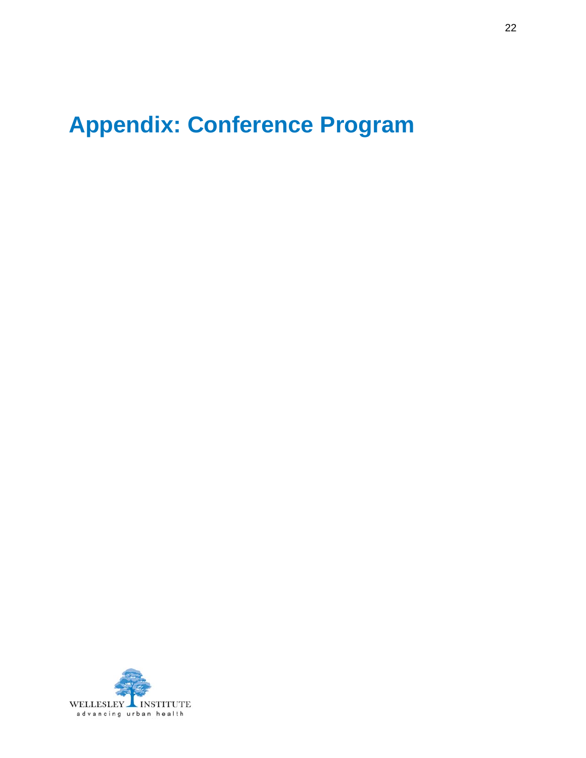## <span id="page-24-0"></span>**Appendix: Conference Program**

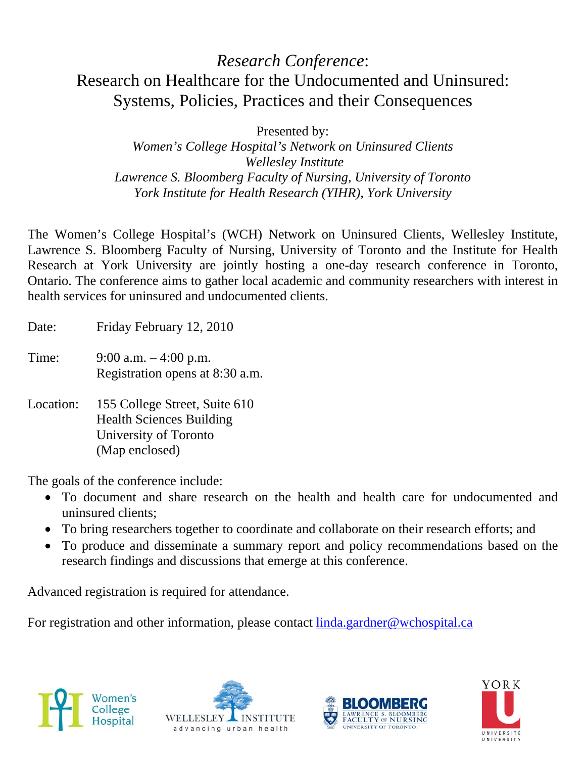#### *Research Conference*: Research on Healthcare for the Undocumented and Uninsured: Systems, Policies, Practices and their Consequences

Presented by:

*Women's College Hospital's Network on Uninsured Clients Wellesley Institute Lawrence S. Bloomberg Faculty of Nursing, University of Toronto York Institute for Health Research (YIHR), York University* 

The Women's College Hospital's (WCH) Network on Uninsured Clients, Wellesley Institute, Lawrence S. Bloomberg Faculty of Nursing, University of Toronto and the Institute for Health Research at York University are jointly hosting a one-day research conference in Toronto, Ontario. The conference aims to gather local academic and community researchers with interest in health services for uninsured and undocumented clients.

- Date: Friday February 12, 2010
- Time: 9:00 a.m. 4:00 p.m. Registration opens at 8:30 a.m.
- Location: 155 College Street, Suite 610 Health Sciences Building University of Toronto (Map enclosed)

The goals of the conference include:

- To document and share research on the health and health care for undocumented and uninsured clients;
- To bring researchers together to coordinate and collaborate on their research efforts; and
- To produce and disseminate a summary report and policy recommendations based on the research findings and discussions that emerge at this conference.

Advanced registration is required for attendance.

For registration and other information, please contact [linda.gardner@wchospital.ca](mailto:linda.gardner@wchospital.ca)







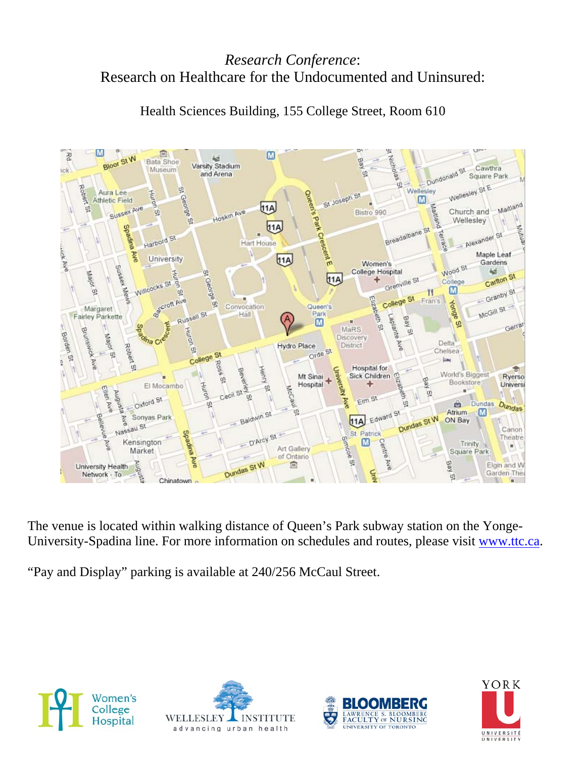#### *Research Conference*: Research on Healthcare for the Undocumented and Uninsured:



Health Sciences Building, 155 College Street, Room 610

The venue is located within walking distance of Queen's Park subway station on the Yonge-University-Spadina line. For more information on schedules and routes, please visit [www.ttc.ca](http://www.ttc.ca/).

"Pay and Display" parking is available at 240/256 McCaul Street.







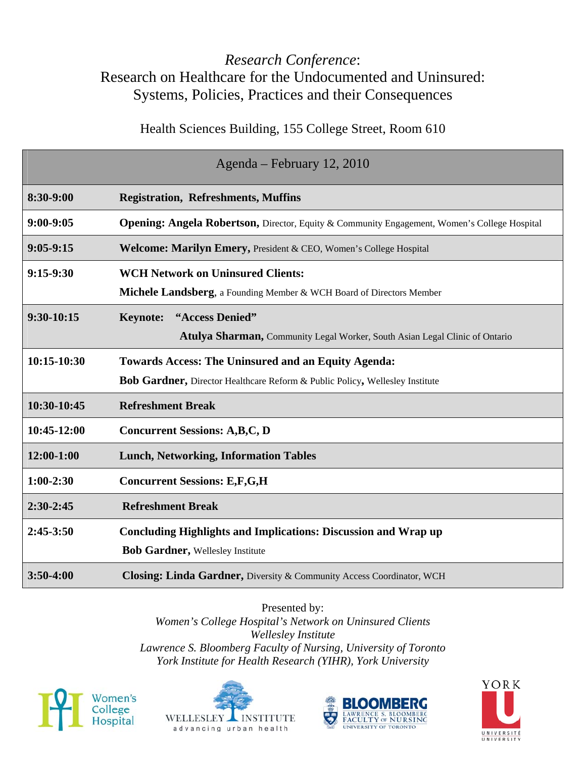#### *Research Conference*: Research on Healthcare for the Undocumented and Uninsured: Systems, Policies, Practices and their Consequences

Health Sciences Building, 155 College Street, Room 610

|              | Agenda – February 12, 2010                                                                              |
|--------------|---------------------------------------------------------------------------------------------------------|
| 8:30-9:00    | <b>Registration, Refreshments, Muffins</b>                                                              |
| $9:00-9:05$  | <b>Opening: Angela Robertson, Director, Equity &amp; Community Engagement, Women's College Hospital</b> |
| $9:05-9:15$  | Welcome: Marilyn Emery, President & CEO, Women's College Hospital                                       |
| $9:15-9:30$  | <b>WCH Network on Uninsured Clients:</b>                                                                |
|              | Michele Landsberg, a Founding Member & WCH Board of Directors Member                                    |
| $9:30-10:15$ | "Access Denied"<br><b>Keynote:</b>                                                                      |
|              | Atulya Sharman, Community Legal Worker, South Asian Legal Clinic of Ontario                             |
| 10:15-10:30  | <b>Towards Access: The Uninsured and an Equity Agenda:</b>                                              |
|              | Bob Gardner, Director Healthcare Reform & Public Policy, Wellesley Institute                            |
| 10:30-10:45  | <b>Refreshment Break</b>                                                                                |
| 10:45-12:00  | <b>Concurrent Sessions: A,B,C, D</b>                                                                    |
| 12:00-1:00   | <b>Lunch, Networking, Information Tables</b>                                                            |
| $1:00-2:30$  | <b>Concurrent Sessions: E,F,G,H</b>                                                                     |
| $2:30-2:45$  | <b>Refreshment Break</b>                                                                                |
| $2:45-3:50$  | <b>Concluding Highlights and Implications: Discussion and Wrap up</b>                                   |
|              | <b>Bob Gardner, Wellesley Institute</b>                                                                 |
| $3:50-4:00$  | <b>Closing: Linda Gardner, Diversity &amp; Community Access Coordinator, WCH</b>                        |

Presented by: *Women's College Hospital's Network on Uninsured Clients Wellesley Institute Lawrence S. Bloomberg Faculty of Nursing, University of Toronto York Institute for Health Research (YIHR), York University* 







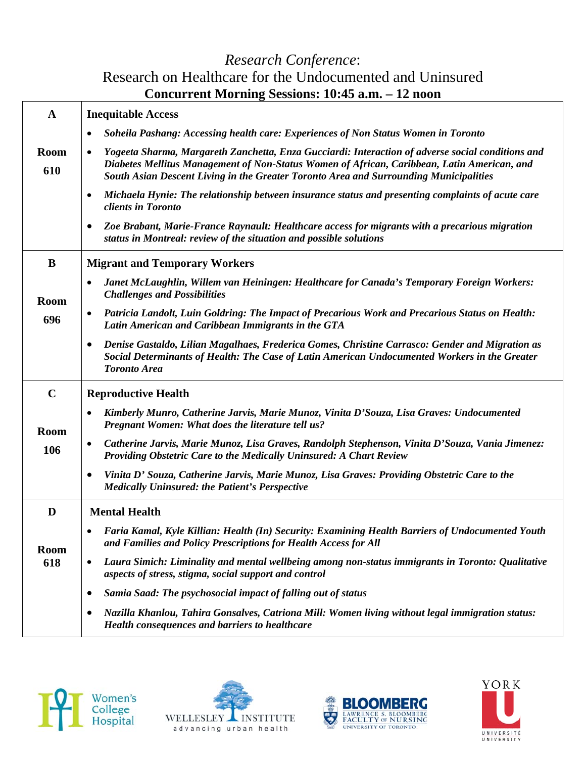#### *Research Conference*: Research on Healthcare for the Undocumented and Uninsured **Concurrent Morning Sessions: 10:45 a.m. – 12 noon**

| $\mathbf{A}$       | <b>Inequitable Access</b>                                                                                                                                                                                                                                                                              |
|--------------------|--------------------------------------------------------------------------------------------------------------------------------------------------------------------------------------------------------------------------------------------------------------------------------------------------------|
|                    | Soheila Pashang: Accessing health care: Experiences of Non Status Women in Toronto                                                                                                                                                                                                                     |
| <b>Room</b><br>610 | Yogeeta Sharma, Margareth Zanchetta, Enza Gucciardi: Interaction of adverse social conditions and<br>$\bullet$<br>Diabetes Mellitus Management of Non-Status Women of African, Caribbean, Latin American, and<br>South Asian Descent Living in the Greater Toronto Area and Surrounding Municipalities |
|                    | Michaela Hynie: The relationship between insurance status and presenting complaints of acute care<br>$\bullet$<br>clients in Toronto                                                                                                                                                                   |
|                    | Zoe Brabant, Marie-France Raynault: Healthcare access for migrants with a precarious migration<br>$\bullet$<br>status in Montreal: review of the situation and possible solutions                                                                                                                      |
| B                  | <b>Migrant and Temporary Workers</b>                                                                                                                                                                                                                                                                   |
| <b>Room</b>        | Janet McLaughlin, Willem van Heiningen: Healthcare for Canada's Temporary Foreign Workers:<br>٠<br><b>Challenges and Possibilities</b>                                                                                                                                                                 |
| 696                | Patricia Landolt, Luin Goldring: The Impact of Precarious Work and Precarious Status on Health:<br>٠<br>Latin American and Caribbean Immigrants in the GTA                                                                                                                                             |
|                    | Denise Gastaldo, Lilian Magalhaes, Frederica Gomes, Christine Carrasco: Gender and Migration as<br>$\bullet$<br>Social Determinants of Health: The Case of Latin American Undocumented Workers in the Greater<br><b>Toronto Area</b>                                                                   |
| $\mathbf C$        | <b>Reproductive Health</b>                                                                                                                                                                                                                                                                             |
| <b>Room</b>        | Kimberly Munro, Catherine Jarvis, Marie Munoz, Vinita D'Souza, Lisa Graves: Undocumented<br>$\bullet$<br>Pregnant Women: What does the literature tell us?                                                                                                                                             |
| 106                | Catherine Jarvis, Marie Munoz, Lisa Graves, Randolph Stephenson, Vinita D'Souza, Vania Jimenez:<br>٠<br>Providing Obstetric Care to the Medically Uninsured: A Chart Review                                                                                                                            |
|                    | Vinita D' Souza, Catherine Jarvis, Marie Munoz, Lisa Graves: Providing Obstetric Care to the<br>٠<br><b>Medically Uninsured: the Patient's Perspective</b>                                                                                                                                             |
| D                  | <b>Mental Health</b>                                                                                                                                                                                                                                                                                   |
| <b>Room</b>        | Faria Kamal, Kyle Killian: Health (In) Security: Examining Health Barriers of Undocumented Youth<br>and Families and Policy Prescriptions for Health Access for All                                                                                                                                    |
| 618                | Laura Simich: Liminality and mental wellbeing among non-status immigrants in Toronto: Qualitative<br>$\bullet$<br>aspects of stress, stigma, social support and control                                                                                                                                |
|                    | Samia Saad: The psychosocial impact of falling out of status<br>$\bullet$                                                                                                                                                                                                                              |
|                    | Nazilla Khanlou, Tahira Gonsalves, Catriona Mill: Women living without legal immigration status:<br>$\bullet$<br>Health consequences and barriers to healthcare                                                                                                                                        |







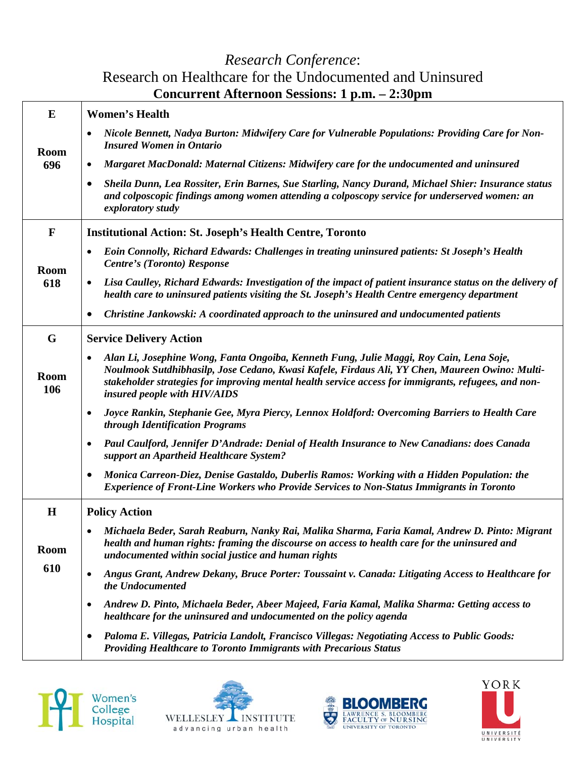#### *Research Conference*: Research on Healthcare for the Undocumented and Uninsured **Concurrent Afternoon Sessions: 1 p.m. – 2:30pm**

| E                  | <b>Women's Health</b>                                                                                                                                                                                                                                                                                                             |
|--------------------|-----------------------------------------------------------------------------------------------------------------------------------------------------------------------------------------------------------------------------------------------------------------------------------------------------------------------------------|
| <b>Room</b>        | Nicole Bennett, Nadya Burton: Midwifery Care for Vulnerable Populations: Providing Care for Non-<br><b>Insured Women in Ontario</b>                                                                                                                                                                                               |
| 696                | Margaret MacDonald: Maternal Citizens: Midwifery care for the undocumented and uninsured<br>$\bullet$                                                                                                                                                                                                                             |
|                    | Sheila Dunn, Lea Rossiter, Erin Barnes, Sue Starling, Nancy Durand, Michael Shier: Insurance status<br>$\bullet$<br>and colposcopic findings among women attending a colposcopy service for underserved women: an<br>exploratory study                                                                                            |
| $\mathbf{F}$       | <b>Institutional Action: St. Joseph's Health Centre, Toronto</b>                                                                                                                                                                                                                                                                  |
| Room               | Eoin Connolly, Richard Edwards: Challenges in treating uninsured patients: St Joseph's Health<br>$\bullet$<br><b>Centre's (Toronto) Response</b>                                                                                                                                                                                  |
| 618                | Lisa Caulley, Richard Edwards: Investigation of the impact of patient insurance status on the delivery of<br>٠<br>health care to uninsured patients visiting the St. Joseph's Health Centre emergency department                                                                                                                  |
|                    | Christine Jankowski: A coordinated approach to the uninsured and undocumented patients<br>$\bullet$                                                                                                                                                                                                                               |
| G                  | <b>Service Delivery Action</b>                                                                                                                                                                                                                                                                                                    |
| <b>Room</b><br>106 | Alan Li, Josephine Wong, Fanta Ongoiba, Kenneth Fung, Julie Maggi, Roy Cain, Lena Soje,<br>Noulmook Sutdhibhasilp, Jose Cedano, Kwasi Kafele, Firdaus Ali, YY Chen, Maureen Owino: Multi-<br>stakeholder strategies for improving mental health service access for immigrants, refugees, and non-<br>insured people with HIV/AIDS |
|                    | Joyce Rankin, Stephanie Gee, Myra Piercy, Lennox Holdford: Overcoming Barriers to Health Care<br>$\bullet$<br>through Identification Programs                                                                                                                                                                                     |
|                    | Paul Caulford, Jennifer D'Andrade: Denial of Health Insurance to New Canadians: does Canada<br>support an Apartheid Healthcare System?                                                                                                                                                                                            |
|                    | Monica Carreon-Diez, Denise Gastaldo, Duberlis Ramos: Working with a Hidden Population: the<br>$\bullet$<br><b>Experience of Front-Line Workers who Provide Services to Non-Status Immigrants in Toronto</b>                                                                                                                      |
| $\bf H$            | <b>Policy Action</b>                                                                                                                                                                                                                                                                                                              |
| <b>Room</b>        | Michaela Beder, Sarah Reaburn, Nanky Rai, Malika Sharma, Faria Kamal, Andrew D. Pinto: Migrant<br>health and human rights: framing the discourse on access to health care for the uninsured and<br>undocumented within social justice and human rights                                                                            |
| 610                | Angus Grant, Andrew Dekany, Bruce Porter: Toussaint v. Canada: Litigating Access to Healthcare for<br>$\bullet$<br>the Undocumented                                                                                                                                                                                               |
|                    | Andrew D. Pinto, Michaela Beder, Abeer Majeed, Faria Kamal, Malika Sharma: Getting access to<br>healthcare for the uninsured and undocumented on the policy agenda                                                                                                                                                                |
|                    | Paloma E. Villegas, Patricia Landolt, Francisco Villegas: Negotiating Access to Public Goods:<br>$\bullet$<br><b>Providing Healthcare to Toronto Immigrants with Precarious Status</b>                                                                                                                                            |







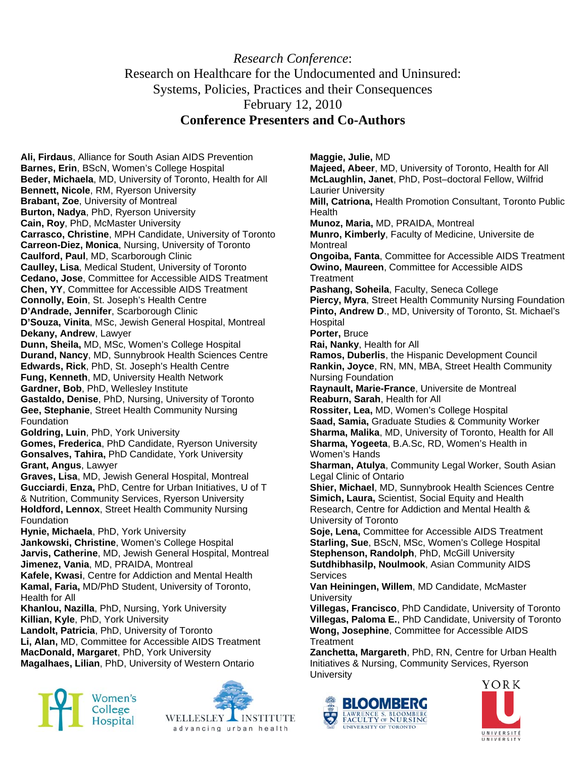#### *Research Conference*: Research on Healthcare for the Undocumented and Uninsured: Systems, Policies, Practices and their Consequences February 12, 2010 **Conference Presenters and Co-Authors**

**Ali, Firdaus**, Alliance for South Asian AIDS Prevention **Barnes, Erin**, BScN, Women's College Hospital **Beder, Michaela**, MD, University of Toronto, Health for All **Bennett, Nicole**, RM, Ryerson University **Brabant, Zoe**, University of Montreal **Burton, Nadya**, PhD, Ryerson University **Cain, Roy**, PhD, McMaster University **Carrasco, Christine**, MPH Candidate, University of Toronto **Carreon-Diez, Monica**, Nursing, University of Toronto **Caulford, Paul**, MD, Scarborough Clinic **Caulley, Lisa**, Medical Student, University of Toronto **Cedano, Jose**, Committee for Accessible AIDS Treatment **Chen, YY**, Committee for Accessible AIDS Treatment **Connolly, Eoin**, St. Joseph's Health Centre **D'Andrade, Jennifer**, Scarborough Clinic **D'Souza, Vinita**, MSc, Jewish General Hospital, Montreal **Dekany, Andrew**, Lawyer **Dunn, Sheila,** MD, MSc, Women's College Hospital **Durand, Nancy**, MD, Sunnybrook Health Sciences Centre **Edwards, Rick**, PhD, St. Joseph's Health Centre **Fung, Kenneth**, MD, University Health Network **Gardner, Bob**, PhD, Wellesley Institute **Gastaldo, Denise**, PhD, Nursing, University of Toronto **Gee, Stephanie**, Street Health Community Nursing **Foundation Goldring, Luin**, PhD, York University **Gomes, Frederica**, PhD Candidate, Ryerson University **Gonsalves, Tahira,** PhD Candidate, York University **Grant, Angus**, Lawyer **Graves, Lisa**, MD, Jewish General Hospital, Montreal **Gucciardi**, **Enza,** PhD, Centre for Urban Initiatives, U of T & Nutrition, Community Services, Ryerson University **Holdford, Lennox**, Street Health Community Nursing Foundation **Hynie, Michaela**, PhD, York University **Jankowski, Christine**, Women's College Hospital **Jarvis, Catherine**, MD, Jewish General Hospital, Montreal **Jimenez, Vania**, MD, PRAIDA, Montreal **Kafele, Kwasi**, Centre for Addiction and Mental Health **Kamal, Faria,** MD/PhD Student, University of Toronto, Health for All

**Khanlou, Nazilla**, PhD, Nursing, York University **Killian, Kyle**, PhD, York University **Landolt, Patricia**, PhD, University of Toronto **Li, Alan,** MD, Committee for Accessible AIDS Treatment **MacDonald, Margaret**, PhD, York University

**Magalhaes, Lilian**, PhD, University of Western Ontario





**Maggie, Julie,** MD **Majeed, Abeer**, MD, University of Toronto, Health for All **McLaughlin, Janet**, PhD, Post–doctoral Fellow, Wilfrid Laurier University **Mill, Catriona,** Health Promotion Consultant, Toronto Public Health **Munoz, Maria,** MD, PRAIDA, Montreal **Munro, Kimberly**, Faculty of Medicine, Universite de **Montreal Ongoiba, Fanta**, Committee for Accessible AIDS Treatment **Owino, Maureen**, Committee for Accessible AIDS **Treatment Pashang, Soheila**, Faculty, Seneca College **Piercy, Myra**, Street Health Community Nursing Foundation **Pinto, Andrew D**., MD, University of Toronto, St. Michael's Hospital **Porter,** Bruce **Rai, Nanky**, Health for All **Ramos, Duberlis**, the Hispanic Development Council **Rankin, Joyce**, RN, MN, MBA, Street Health Community Nursing Foundation **Raynault, Marie-France**, Universite de Montreal **Reaburn, Sarah**, Health for All **Rossiter, Lea,** MD, Women's College Hospital **Saad, Samia,** Graduate Studies & Community Worker **Sharma, Malika**, MD, University of Toronto, Health for All **Sharma, Yogeeta**, B.A.Sc, RD, Women's Health in Women's Hands **Sharman, Atulya**, Community Legal Worker, South Asian Legal Clinic of Ontario **Shier, Michael**, MD, Sunnybrook Health Sciences Centre **Simich, Laura,** Scientist, Social Equity and Health Research, Centre for Addiction and Mental Health & University of Toronto **Soje, Lena,** Committee for Accessible AIDS Treatment **Starling, Sue**, BScN, MSc, Women's College Hospital **Stephenson, Randolph**, PhD, McGill University **Sutdhibhasilp, Noulmook**, Asian Community AIDS **Services Van Heiningen, Willem**, MD Candidate, McMaster **University Villegas, Francisco**, PhD Candidate, University of Toronto **Villegas, Paloma E.**, PhD Candidate, University of Toronto **Wong, Josephine**, Committee for Accessible AIDS **Treatment Zanchetta, Margareth**, PhD, RN, Centre for Urban Health Initiatives & Nursing, Community Services, Ryerson